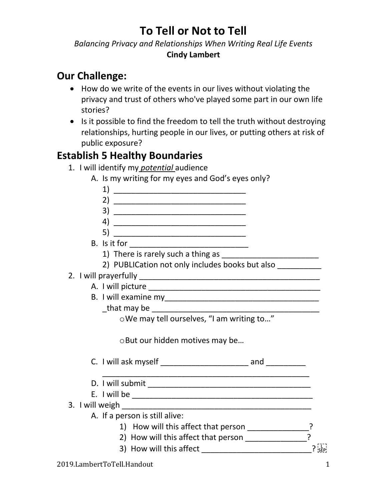## *Balancing Privacy and Relationships When Writing Real Life Events* **Cindy Lambert**

## **Our Challenge:**

- How do we write of the events in our lives without violating the privacy and trust of others who've played some part in our own life stories?
- Is it possible to find the freedom to tell the truth without destroying relationships, hurting people in our lives, or putting others at risk of public exposure?

## **Establish 5 Healthy Boundaries**

1. I will identify my *potential* audience

| A. Is my writing for my eyes and God's eyes only?                         |  |
|---------------------------------------------------------------------------|--|
|                                                                           |  |
|                                                                           |  |
|                                                                           |  |
|                                                                           |  |
|                                                                           |  |
|                                                                           |  |
|                                                                           |  |
| 2) PUBLICation not only includes books but also __________                |  |
|                                                                           |  |
|                                                                           |  |
|                                                                           |  |
|                                                                           |  |
|                                                                           |  |
| o But our hidden motives may be                                           |  |
|                                                                           |  |
|                                                                           |  |
|                                                                           |  |
|                                                                           |  |
| A. If a person is still alive:                                            |  |
| 1) How will this affect that person ______________?                       |  |
| 2) How will this affect that person ________________                      |  |
| 3) How will this affect _________________________________? $\frac{1}{35}$ |  |
|                                                                           |  |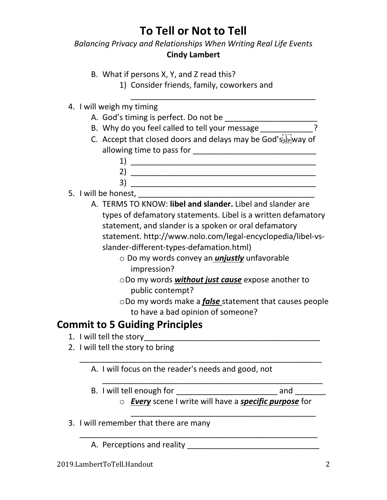## *Balancing Privacy and Relationships When Writing Real Life Events* **Cindy Lambert**

- B. What if persons X, Y, and Z read this?
	- 1) Consider friends, family, coworkers and

## 4. I will weigh my timing

- A. God's timing is perfect. Do not be \_\_\_\_\_\_\_\_\_\_\_\_\_\_\_\_\_\_\_\_\_
- B. Why do you feel called to tell your message *\_\_\_\_\_\_\_\_\_\_\_\_*?
- C. Accept that closed doors and delays may be God's  $\frac{1}{2}$  way of allowing time to pass for \_\_\_\_\_\_\_\_\_\_\_\_\_\_\_\_\_\_\_\_\_\_\_\_\_\_\_\_
	- 1) \_\_\_\_\_\_\_\_\_\_\_\_\_\_\_\_\_\_\_\_\_\_\_\_\_\_\_\_\_\_\_\_\_\_\_\_\_\_\_\_\_\_ 2) \_\_\_\_\_\_\_\_\_\_\_\_\_\_\_\_\_\_\_\_\_\_\_\_\_\_\_\_\_\_\_\_\_\_\_\_\_\_\_\_\_\_ 3) \_\_\_\_\_\_\_\_\_\_\_\_\_\_\_\_\_\_\_\_\_\_\_\_\_\_\_\_\_\_\_\_\_\_\_\_\_\_\_\_\_\_

\_\_\_\_\_\_\_\_\_\_\_\_\_\_\_\_\_\_\_\_\_\_\_\_\_\_\_\_\_\_\_\_\_\_\_\_\_\_\_\_\_\_

- 5. I will be honest,
	- A. TERMS TO KNOW: **libel and slander.** Libel and slander are types of defamatory statements. Libel is a written defamatory statement, and slander is a spoken or oral defamatory statement. http://www.nolo.com/legal-encyclopedia/libel-vsslander-different-types-defamation.html)
		- o Do my words convey an *unjustly* unfavorable impression?
		- oDo my words *without just cause* expose another to public contempt?
		- oDo my words make a *false* statement that causes people to have a bad opinion of someone?

# **Commit to 5 Guiding Principles**

- 1. I will tell the story
- 2. I will tell the story to bring
	- \_\_\_\_\_\_\_\_\_\_\_\_\_\_\_\_\_\_\_\_\_\_\_\_\_\_\_\_\_\_\_\_\_\_\_\_\_\_\_\_\_\_\_\_\_\_\_\_\_\_\_\_\_\_\_ A. I will focus on the reader's needs and good, not
		- \_\_\_\_\_\_\_\_\_\_\_\_\_\_\_\_\_\_\_\_\_\_\_\_\_\_\_\_\_\_\_\_\_\_\_\_\_\_\_\_\_\_\_\_\_\_\_\_\_\_ B. I will tell enough for \_\_\_\_\_\_\_\_\_\_\_\_\_\_\_\_\_\_\_\_\_\_\_\_\_\_\_\_\_\_\_\_ and \_\_\_\_\_\_\_\_\_
			- o *Every* scene I write will have a *specific purpose* for

\_\_\_\_\_\_\_\_\_\_\_\_\_\_\_\_\_\_\_\_\_\_\_\_\_\_\_\_\_\_\_\_\_\_\_\_\_\_\_\_\_\_

\_\_\_\_\_\_\_\_\_\_\_\_\_\_\_\_\_\_\_\_\_\_\_\_\_\_\_\_\_\_\_\_\_\_\_\_\_\_\_\_\_\_\_\_\_\_\_\_\_\_\_\_\_\_

- 3. I will remember that there are many
	- A. Perceptions and reality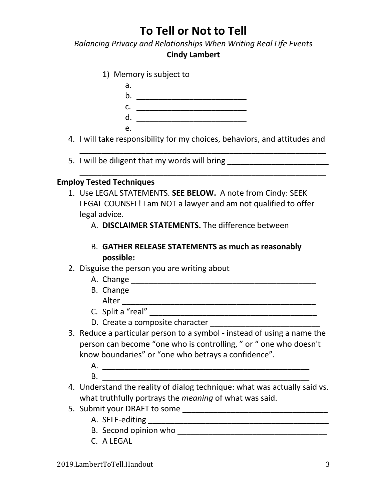*Balancing Privacy and Relationships When Writing Real Life Events*

### **Cindy Lambert**

|    | 1) Memory is subject to |  |  |
|----|-------------------------|--|--|
| a. |                         |  |  |
| b. |                         |  |  |
| c. |                         |  |  |
| d. |                         |  |  |
| А. |                         |  |  |

4. I will take responsibility for my choices, behaviors, and attitudes and

\_\_\_\_\_\_\_\_\_\_\_\_\_\_\_\_\_\_\_\_\_\_\_\_\_\_\_\_\_\_\_\_\_\_\_\_\_\_\_\_\_\_\_\_\_\_\_\_\_\_\_\_\_\_\_\_

\_\_\_\_\_\_\_\_\_\_\_\_\_\_\_\_\_\_\_\_\_\_\_\_\_\_\_\_\_\_\_\_\_\_\_\_\_\_\_\_\_\_\_\_\_\_\_\_\_\_\_\_\_\_\_\_

5. I will be diligent that my words will bring \_\_\_\_\_\_\_\_\_\_\_\_\_\_\_\_\_\_\_\_\_\_\_\_\_\_\_\_\_\_\_\_\_

### **Employ Tested Techniques**

- 1. Use LEGAL STATEMENTS. **SEE BELOW.** A note from Cindy: SEEK LEGAL COUNSEL! I am NOT a lawyer and am not qualified to offer legal advice.
	- A. **DISCLAIMER STATEMENTS.** The difference between
	- B. **GATHER RELEASE STATEMENTS as much as reasonably possible:**

\_\_\_\_\_\_\_\_\_\_\_\_\_\_\_\_\_\_\_\_\_\_\_\_\_\_\_\_\_\_\_\_\_\_\_\_\_\_\_\_\_\_\_\_\_\_\_\_

- 2. Disguise the person you are writing about
	- A. Change \_\_\_\_\_\_\_\_\_\_\_\_\_\_\_\_\_\_\_\_\_\_\_\_\_\_\_\_\_\_\_\_\_\_\_\_\_\_\_\_\_\_
	- B. Change \_\_\_\_\_\_\_\_\_\_\_\_\_\_\_\_\_\_\_\_\_\_\_\_\_\_\_\_\_\_\_\_\_\_\_\_\_\_\_\_\_\_ Alter \_\_\_\_\_\_\_\_\_\_\_\_\_\_\_\_\_\_\_\_\_\_\_\_\_\_\_\_\_\_\_\_\_\_\_\_\_\_\_\_\_\_\_\_
	- $C.$  Split a "real"  $\overline{\phantom{a} \phantom{a}}$
	- D. Create a composite character \_\_\_\_\_\_\_\_\_\_\_\_\_\_\_\_\_\_\_\_\_\_\_\_\_
- 3. Reduce a particular person to a symbol instead of using a name the person can become "one who is controlling, " or " one who doesn't know boundaries" or "one who betrays a confidence".
	- A. \_\_\_\_\_\_\_\_\_\_\_\_\_\_\_\_\_\_\_\_\_\_\_\_\_\_\_\_\_\_\_\_\_\_\_\_\_\_\_\_\_\_\_\_\_\_\_ B. \_\_\_\_\_\_\_\_\_\_\_\_\_\_\_\_\_\_\_\_\_\_\_\_\_\_\_\_\_\_\_\_\_\_\_\_\_\_\_\_\_\_\_\_\_\_\_
- 4. Understand the reality of dialog technique: what was actually said vs. what truthfully portrays the *meaning* of what was said.
- 5. Submit your DRAFT to some \_\_\_\_\_\_\_\_\_\_\_\_\_\_\_\_\_\_\_\_\_\_\_\_\_\_\_\_\_\_\_\_\_
	- A. SELF-editing \_\_\_\_\_\_\_\_\_\_\_\_\_\_\_\_\_\_\_\_\_\_\_\_\_\_\_\_\_\_\_\_\_\_\_\_\_\_\_\_\_
	- B. Second opinion who \_\_\_\_\_\_\_\_\_\_\_\_\_\_\_\_\_\_\_\_\_\_\_\_\_\_\_\_\_\_\_\_\_\_
	- C. A LEGAL\_\_\_\_\_\_\_\_\_\_\_\_\_\_\_\_\_\_\_\_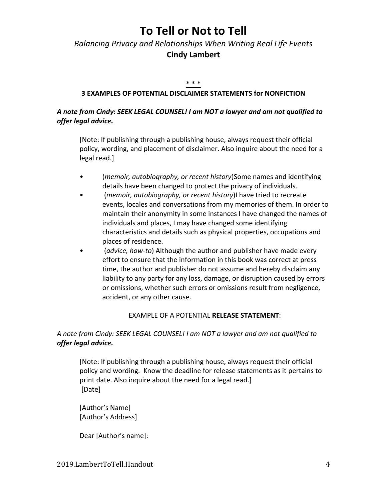## *Balancing Privacy and Relationships When Writing Real Life Events* **Cindy Lambert**

#### **\* \* \***

#### **3 EXAMPLES OF POTENTIAL DISCLAIMER STATEMENTS for NONFICTION**

### *A note from Cindy: SEEK LEGAL COUNSEL! I am NOT a lawyer and am not qualified to offer legal advice.*

[Note: If publishing through a publishing house, always request their official policy, wording, and placement of disclaimer. Also inquire about the need for a legal read.]

- (*memoir, autobiography, or recent history*)Some names and identifying details have been changed to protect the privacy of individuals.
- (*memoir, autobiography, or recent history*)I have tried to recreate events, locales and conversations from my memories of them. In order to maintain their anonymity in some instances I have changed the names of individuals and places, I may have changed some identifying characteristics and details such as physical properties, occupations and places of residence.
- (*advice, how-to*) Although the author and publisher have made every effort to ensure that the information in this book was correct at press time, the author and publisher do not assume and hereby disclaim any liability to any party for any loss, damage, or disruption caused by errors or omissions, whether such errors or omissions result from negligence, accident, or any other cause.

#### EXAMPLE OF A POTENTIAL **RELEASE STATEMENT**:

### *A note from Cindy: SEEK LEGAL COUNSEL! I am NOT a lawyer and am not qualified to offer legal advice.*

[Note: If publishing through a publishing house, always request their official policy and wording. Know the deadline for release statements as it pertains to print date. Also inquire about the need for a legal read.] [Date]

[Author's Name] [Author's Address]

Dear [Author's name]: